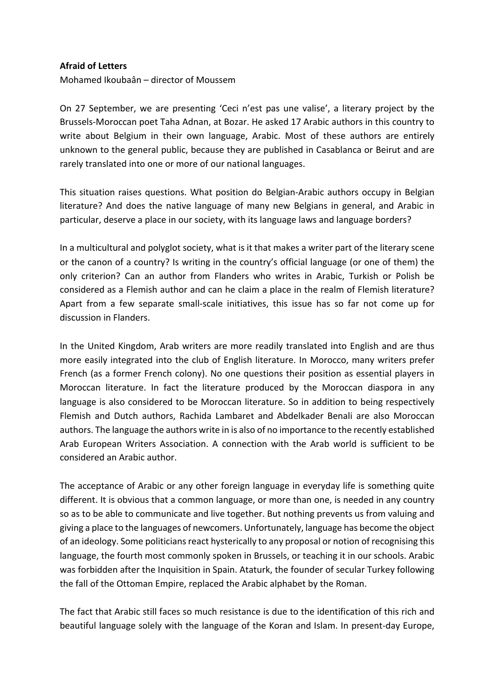## **Afraid of Letters**

Mohamed Ikoubaân – director of Moussem

On 27 September, we are presenting 'Ceci n'est pas une valise', a literary project by the Brussels-Moroccan poet Taha Adnan, at Bozar. He asked 17 Arabic authors in this country to write about Belgium in their own language, Arabic. Most of these authors are entirely unknown to the general public, because they are published in Casablanca or Beirut and are rarely translated into one or more of our national languages.

This situation raises questions. What position do Belgian-Arabic authors occupy in Belgian literature? And does the native language of many new Belgians in general, and Arabic in particular, deserve a place in our society, with its language laws and language borders?

In a multicultural and polyglot society, what is it that makes a writer part of the literary scene or the canon of a country? Is writing in the country's official language (or one of them) the only criterion? Can an author from Flanders who writes in Arabic, Turkish or Polish be considered as a Flemish author and can he claim a place in the realm of Flemish literature? Apart from a few separate small-scale initiatives, this issue has so far not come up for discussion in Flanders.

In the United Kingdom, Arab writers are more readily translated into English and are thus more easily integrated into the club of English literature. In Morocco, many writers prefer French (as a former French colony). No one questions their position as essential players in Moroccan literature. In fact the literature produced by the Moroccan diaspora in any language is also considered to be Moroccan literature. So in addition to being respectively Flemish and Dutch authors, Rachida Lambaret and Abdelkader Benali are also Moroccan authors. The language the authors write in is also of no importance to the recently established Arab European Writers Association. A connection with the Arab world is sufficient to be considered an Arabic author.

The acceptance of Arabic or any other foreign language in everyday life is something quite different. It is obvious that a common language, or more than one, is needed in any country so as to be able to communicate and live together. But nothing prevents us from valuing and giving a place to the languages of newcomers. Unfortunately, language has become the object of an ideology. Some politicians react hysterically to any proposal or notion of recognising this language, the fourth most commonly spoken in Brussels, or teaching it in our schools. Arabic was forbidden after the Inquisition in Spain. Ataturk, the founder of secular Turkey following the fall of the Ottoman Empire, replaced the Arabic alphabet by the Roman.

The fact that Arabic still faces so much resistance is due to the identification of this rich and beautiful language solely with the language of the Koran and Islam. In present-day Europe,